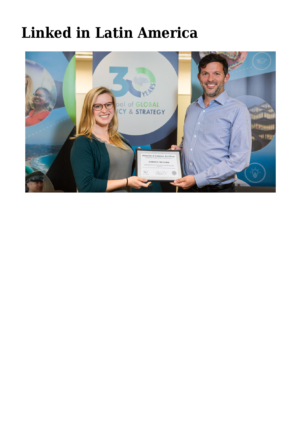## **[Linked in Latin America](https://gpsnews.ucsd.edu/planted-in-a-pivot-point-for-asia-latin-america/)**

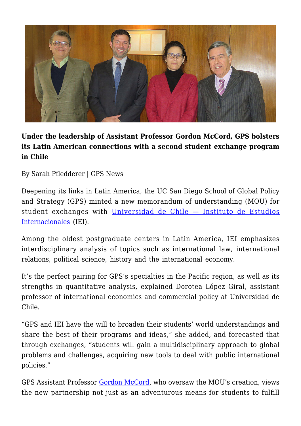

## **Under the leadership of Assistant Professor Gordon McCord, GPS bolsters its Latin American connections with a second student exchange program in Chile**

By Sarah Pfledderer | GPS News

Deepening its links in Latin America, the UC San Diego School of Global Policy and Strategy (GPS) minted a new memorandum of understanding (MOU) for student exchanges with [Universidad de Chile — Instituto de Estudios](http://www.iei.uchile.cl/) [Internacionales](http://www.iei.uchile.cl/) (IEI).

Among the oldest postgraduate centers in Latin America, IEI emphasizes interdisciplinary analysis of topics such as international law, international relations, political science, history and the international economy.

It's the perfect pairing for GPS's specialties in the Pacific region, as well as its strengths in quantitative analysis, explained Dorotea López Giral, assistant professor of international economics and commercial policy at Universidad de Chile.

"GPS and IEI have the will to broaden their students' world understandings and share the best of their programs and ideas," she added, and forecasted that through exchanges, "students will gain a multidisciplinary approach to global problems and challenges, acquiring new tools to deal with public international policies."

GPS Assistant Professor [Gordon McCord,](https://gps.ucsd.edu/faculty-directory/gordon-mccord.html) who oversaw the MOU's creation, views the new partnership not just as an adventurous means for students to fulfill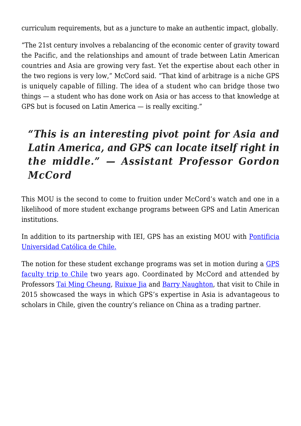curriculum requirements, but as a juncture to make an authentic impact, globally.

"The 21st century involves a rebalancing of the economic center of gravity toward the Pacific, and the relationships and amount of trade between Latin American countries and Asia are growing very fast. Yet the expertise about each other in the two regions is very low," McCord said. "That kind of arbitrage is a niche GPS is uniquely capable of filling. The idea of a student who can bridge those two things — a student who has done work on Asia or has access to that knowledge at GPS but is focused on Latin America — is really exciting."

## *"This is an interesting pivot point for Asia and Latin America, and GPS can locate itself right in the middle." — Assistant Professor Gordon McCord*

This MOU is the second to come to fruition under McCord's watch and one in a likelihood of more student exchange programs between GPS and Latin American institutions.

In addition to its partnership with IEI, GPS has an existing MOU with [Pontificia](http://www.uc.cl/) [Universidad Católica de Chile.](http://www.uc.cl/)

The notion for these student exchange programs was set in motion during a [GPS](https://gpsnews.ucsd.edu/gps-china-scholars-build-ties-in-chile.html) [faculty trip to Chile](https://gpsnews.ucsd.edu/gps-china-scholars-build-ties-in-chile.html) two years ago. Coordinated by McCord and attended by Professors [Tai Ming Cheung](https://gps.ucsd.edu/faculty-directory/tai-ming-cheung.html), [Ruixue Jia](https://gps.ucsd.edu/faculty-directory/ruixue-jia.html) and [Barry Naughton,](https://gps.ucsd.edu/faculty-directory/barry-naughton.html) that visit to Chile in 2015 showcased the ways in which GPS's expertise in Asia is advantageous to scholars in Chile, given the country's reliance on China as a trading partner.